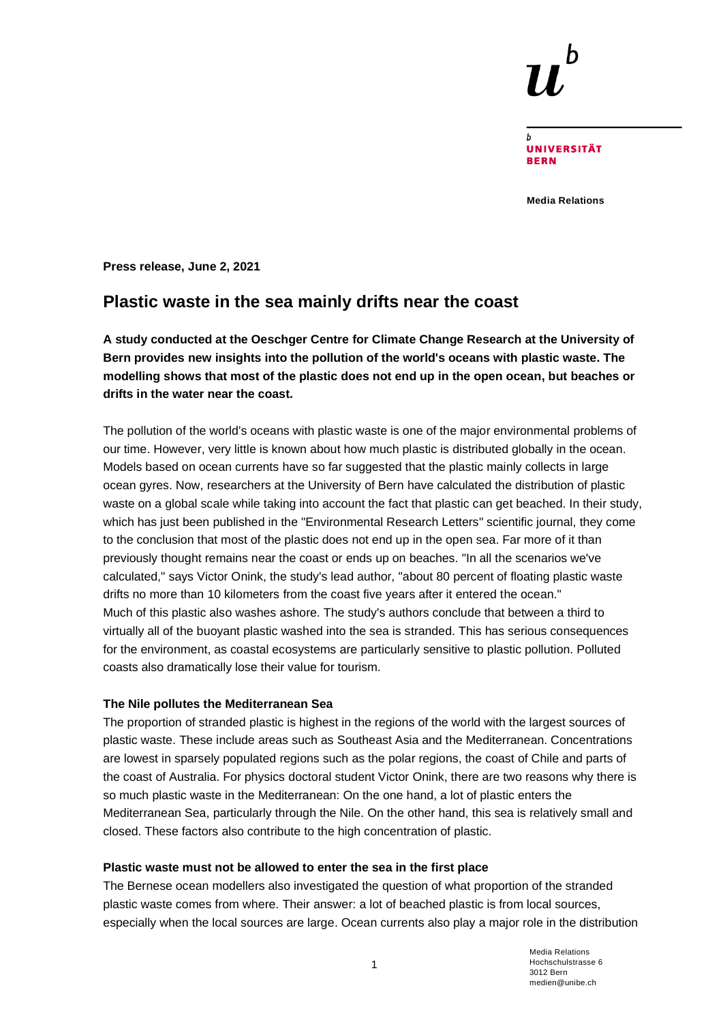**UNIVERSITÄT BERN** 

**Media Relations**

**Press release, June 2, 2021**

# **Plastic waste in the sea mainly drifts near the coast**

**A study conducted at the Oeschger Centre for Climate Change Research at the University of Bern provides new insights into the pollution of the world's oceans with plastic waste. The modelling shows that most of the plastic does not end up in the open ocean, but beaches or drifts in the water near the coast.**

The pollution of the world's oceans with plastic waste is one of the major environmental problems of our time. However, very little is known about how much plastic is distributed globally in the ocean. Models based on ocean currents have so far suggested that the plastic mainly collects in large ocean gyres. Now, researchers at the University of Bern have calculated the distribution of plastic waste on a global scale while taking into account the fact that plastic can get beached. In their study, which has just been published in the "Environmental Research Letters" scientific journal, they come to the conclusion that most of the plastic does not end up in the open sea. Far more of it than previously thought remains near the coast or ends up on beaches. "In all the scenarios we've calculated," says Victor Onink, the study's lead author, "about 80 percent of floating plastic waste drifts no more than 10 kilometers from the coast five years after it entered the ocean." Much of this plastic also washes ashore. The study's authors conclude that between a third to virtually all of the buoyant plastic washed into the sea is stranded. This has serious consequences for the environment, as coastal ecosystems are particularly sensitive to plastic pollution. Polluted coasts also dramatically lose their value for tourism.

# **The Nile pollutes the Mediterranean Sea**

The proportion of stranded plastic is highest in the regions of the world with the largest sources of plastic waste. These include areas such as Southeast Asia and the Mediterranean. Concentrations are lowest in sparsely populated regions such as the polar regions, the coast of Chile and parts of the coast of Australia. For physics doctoral student Victor Onink, there are two reasons why there is so much plastic waste in the Mediterranean: On the one hand, a lot of plastic enters the Mediterranean Sea, particularly through the Nile. On the other hand, this sea is relatively small and closed. These factors also contribute to the high concentration of plastic.

### **Plastic waste must not be allowed to enter the sea in the first place**

The Bernese ocean modellers also investigated the question of what proportion of the stranded plastic waste comes from where. Their answer: a lot of beached plastic is from local sources, especially when the local sources are large. Ocean currents also play a major role in the distribution